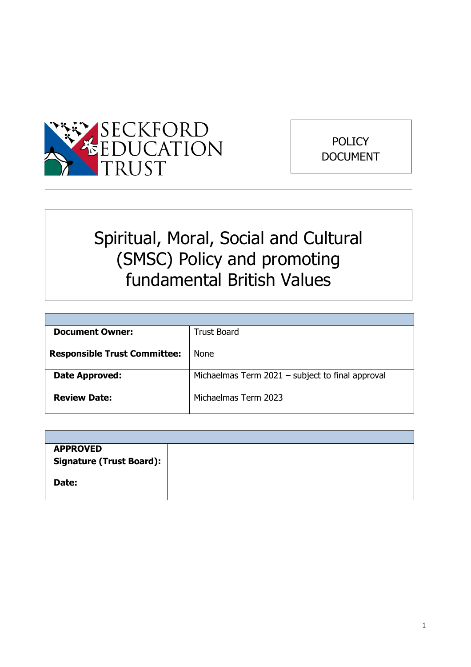



# Spiritual, Moral, Social and Cultural (SMSC) Policy and promoting fundamental British Values

| <b>Document Owner:</b>              | <b>Trust Board</b>                               |
|-------------------------------------|--------------------------------------------------|
|                                     |                                                  |
| <b>Responsible Trust Committee:</b> | <b>None</b>                                      |
|                                     |                                                  |
| Date Approved:                      | Michaelmas Term 2021 - subject to final approval |
|                                     |                                                  |
| <b>Review Date:</b>                 | Michaelmas Term 2023                             |
|                                     |                                                  |

| <b>APPROVED</b>                 |  |
|---------------------------------|--|
| <b>Signature (Trust Board):</b> |  |
|                                 |  |
| Date:                           |  |
|                                 |  |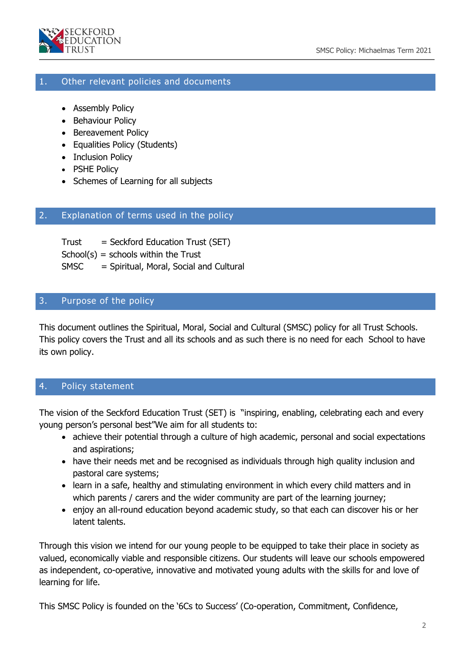

### 1. Other relevant policies and documents

- Assembly Policy
- Behaviour Policy
- Bereavement Policy
- Equalities Policy (Students)
- Inclusion Policy
- PSHE Policy
- Schemes of Learning for all subjects

#### 2. Explanation of terms used in the policy

Trust = Seckford Education Trust (SET)  $School(s) = schools within the Trust$ SMSC = Spiritual, Moral, Social and Cultural

#### 3. Purpose of the policy

This document outlines the Spiritual, Moral, Social and Cultural (SMSC) policy for all Trust Schools. This policy covers the Trust and all its schools and as such there is no need for each School to have its own policy.

# 4. Policy statement

The vision of the Seckford Education Trust (SET) is "inspiring, enabling, celebrating each and every young person's personal best"We aim for all students to:

- achieve their potential through a culture of high academic, personal and social expectations and aspirations;
- have their needs met and be recognised as individuals through high quality inclusion and pastoral care systems;
- learn in a safe, healthy and stimulating environment in which every child matters and in which parents / carers and the wider community are part of the learning journey;
- enjoy an all-round education beyond academic study, so that each can discover his or her latent talents.

Through this vision we intend for our young people to be equipped to take their place in society as valued, economically viable and responsible citizens. Our students will leave our schools empowered as independent, co-operative, innovative and motivated young adults with the skills for and love of learning for life.

This SMSC Policy is founded on the '6Cs to Success' (Co-operation, Commitment, Confidence,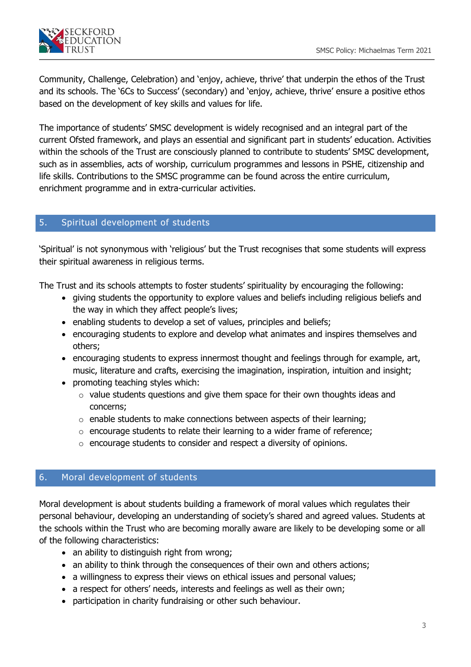

Community, Challenge, Celebration) and 'enjoy, achieve, thrive' that underpin the ethos of the Trust and its schools. The '6Cs to Success' (secondary) and 'enjoy, achieve, thrive' ensure a positive ethos based on the development of key skills and values for life.

The importance of students' SMSC development is widely recognised and an integral part of the current Ofsted framework, and plays an essential and significant part in students' education. Activities within the schools of the Trust are consciously planned to contribute to students' SMSC development, such as in assemblies, acts of worship, curriculum programmes and lessons in PSHE, citizenship and life skills. Contributions to the SMSC programme can be found across the entire curriculum, enrichment programme and in extra-curricular activities.

## 5. Spiritual development of students

'Spiritual' is not synonymous with 'religious' but the Trust recognises that some students will express their spiritual awareness in religious terms.

The Trust and its schools attempts to foster students' spirituality by encouraging the following:

- giving students the opportunity to explore values and beliefs including religious beliefs and the way in which they affect people's lives;
- enabling students to develop a set of values, principles and beliefs;
- encouraging students to explore and develop what animates and inspires themselves and others;
- encouraging students to express innermost thought and feelings through for example, art, music, literature and crafts, exercising the imagination, inspiration, intuition and insight;
- promoting teaching styles which:
	- $\circ$  value students questions and give them space for their own thoughts ideas and concerns;
	- $\circ$  enable students to make connections between aspects of their learning;
	- o encourage students to relate their learning to a wider frame of reference;
	- o encourage students to consider and respect a diversity of opinions.

## 6. Moral development of students

Moral development is about students building a framework of moral values which regulates their personal behaviour, developing an understanding of society's shared and agreed values. Students at the schools within the Trust who are becoming morally aware are likely to be developing some or all of the following characteristics:

- an ability to distinguish right from wrong;
- an ability to think through the consequences of their own and others actions;
- a willingness to express their views on ethical issues and personal values;
- a respect for others' needs, interests and feelings as well as their own;
- participation in charity fundraising or other such behaviour.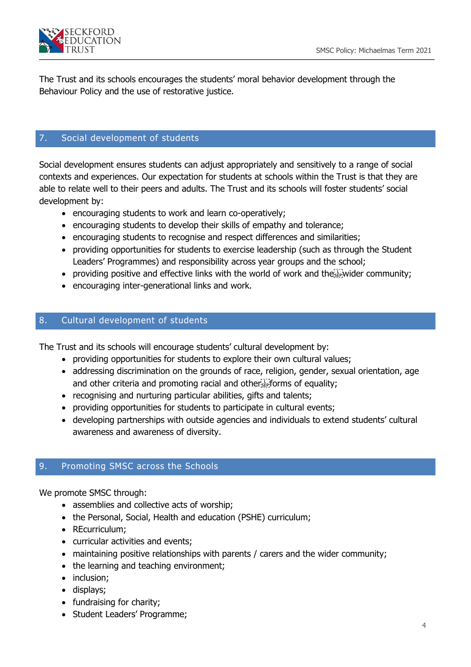

The Trust and its schools encourages the students' moral behavior development through the Behaviour Policy and the use of restorative justice.

# 7. Social development of students

Social development ensures students can adjust appropriately and sensitively to a range of social contexts and experiences. Our expectation for students at schools within the Trust is that they are able to relate well to their peers and adults. The Trust and its schools will foster students' social development by:

- encouraging students to work and learn co-operatively;
- encouraging students to develop their skills of empathy and tolerance;
- encouraging students to recognise and respect differences and similarities;
- providing opportunities for students to exercise leadership (such as through the Student Leaders' Programmes) and responsibility across year groups and the school;
- providing positive and effective links with the world of work and the  $\frac{1}{2}$  wider community;
- encouraging inter-generational links and work.

# 8. Cultural development of students

The Trust and its schools will encourage students' cultural development by:

- providing opportunities for students to explore their own cultural values;
- addressing discrimination on the grounds of race, religion, gender, sexual orientation, age and other criteria and promoting racial and other Fight forms of equality;
- recognising and nurturing particular abilities, gifts and talents;
- providing opportunities for students to participate in cultural events;
- developing partnerships with outside agencies and individuals to extend students' cultural awareness and awareness of diversity.

# 9. Promoting SMSC across the Schools

We promote SMSC through:

- assemblies and collective acts of worship;
- the Personal, Social, Health and education (PSHE) curriculum;
- REcurriculum;
- curricular activities and events;
- maintaining positive relationships with parents / carers and the wider community;
- the learning and teaching environment;
- inclusion;
- displays;
- fundraising for charity;
- Student Leaders' Programme;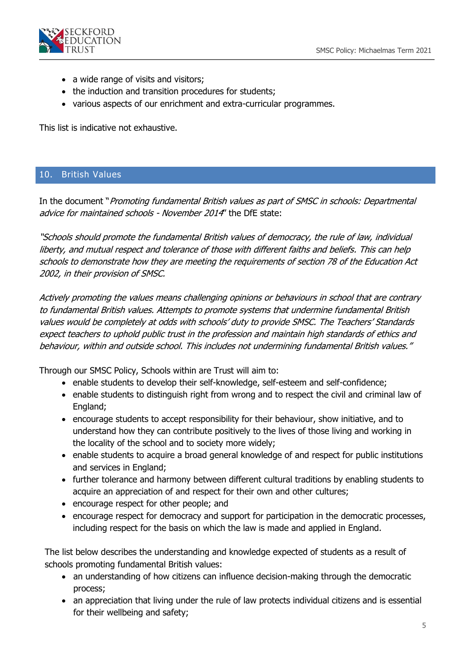

- a wide range of visits and visitors;
- the induction and transition procedures for students;
- various aspects of our enrichment and extra-curricular programmes.

This list is indicative not exhaustive.

#### 10. British Values

In the document "Promoting fundamental British values as part of SMSC in schools: Departmental advice for maintained schools - November 2014' the DfE state:

"Schools should promote the fundamental British values of democracy, the rule of law, individual liberty, and mutual respect and tolerance of those with different faiths and beliefs. This can help schools to demonstrate how they are meeting the requirements of section 78 of the Education Act 2002, in their provision of SMSC.

Actively promoting the values means challenging opinions or behaviours in school that are contrary to fundamental British values. Attempts to promote systems that undermine fundamental British values would be completely at odds with schools' duty to provide SMSC. The Teachers' Standards expect teachers to uphold public trust in the profession and maintain high standards of ethics and behaviour, within and outside school. This includes not undermining fundamental British values."

Through our SMSC Policy, Schools within are Trust will aim to:

- enable students to develop their self-knowledge, self-esteem and self-confidence;
- enable students to distinguish right from wrong and to respect the civil and criminal law of England;
- encourage students to accept responsibility for their behaviour, show initiative, and to understand how they can contribute positively to the lives of those living and working in the locality of the school and to society more widely;
- enable students to acquire a broad general knowledge of and respect for public institutions and services in England;
- further tolerance and harmony between different cultural traditions by enabling students to acquire an appreciation of and respect for their own and other cultures;
- encourage respect for other people; and
- encourage respect for democracy and support for participation in the democratic processes, including respect for the basis on which the law is made and applied in England.

The list below describes the understanding and knowledge expected of students as a result of schools promoting fundamental British values:

- an understanding of how citizens can influence decision-making through the democratic process;
- an appreciation that living under the rule of law protects individual citizens and is essential for their wellbeing and safety;